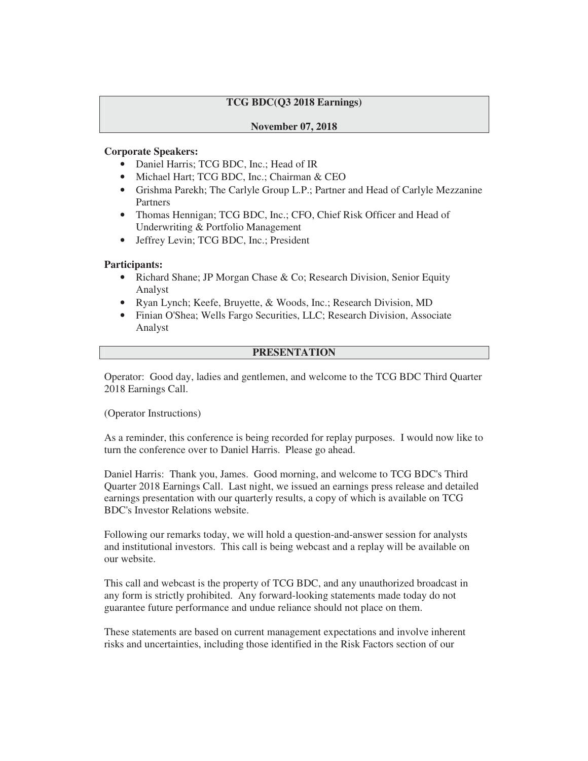# **TCG BDC(Q3 2018 Earnings)**

## **November 07, 2018**

## **Corporate Speakers:**

- Daniel Harris; TCG BDC, Inc.; Head of IR
- Michael Hart; TCG BDC, Inc.; Chairman & CEO
- Grishma Parekh; The Carlyle Group L.P.; Partner and Head of Carlyle Mezzanine Partners
- Thomas Hennigan; TCG BDC, Inc.; CFO, Chief Risk Officer and Head of Underwriting & Portfolio Management
- Jeffrey Levin; TCG BDC, Inc.; President

## **Participants:**

- Richard Shane; JP Morgan Chase & Co; Research Division, Senior Equity Analyst
- Ryan Lynch; Keefe, Bruyette, & Woods, Inc.; Research Division, MD
- Finian O'Shea; Wells Fargo Securities, LLC; Research Division, Associate Analyst

## **PRESENTATION**

Operator: Good day, ladies and gentlemen, and welcome to the TCG BDC Third Quarter 2018 Earnings Call.

(Operator Instructions)

As a reminder, this conference is being recorded for replay purposes. I would now like to turn the conference over to Daniel Harris. Please go ahead.

Daniel Harris: Thank you, James. Good morning, and welcome to TCG BDC's Third Quarter 2018 Earnings Call. Last night, we issued an earnings press release and detailed earnings presentation with our quarterly results, a copy of which is available on TCG BDC's Investor Relations website.

Following our remarks today, we will hold a question-and-answer session for analysts and institutional investors. This call is being webcast and a replay will be available on our website.

This call and webcast is the property of TCG BDC, and any unauthorized broadcast in any form is strictly prohibited. Any forward-looking statements made today do not guarantee future performance and undue reliance should not place on them.

These statements are based on current management expectations and involve inherent risks and uncertainties, including those identified in the Risk Factors section of our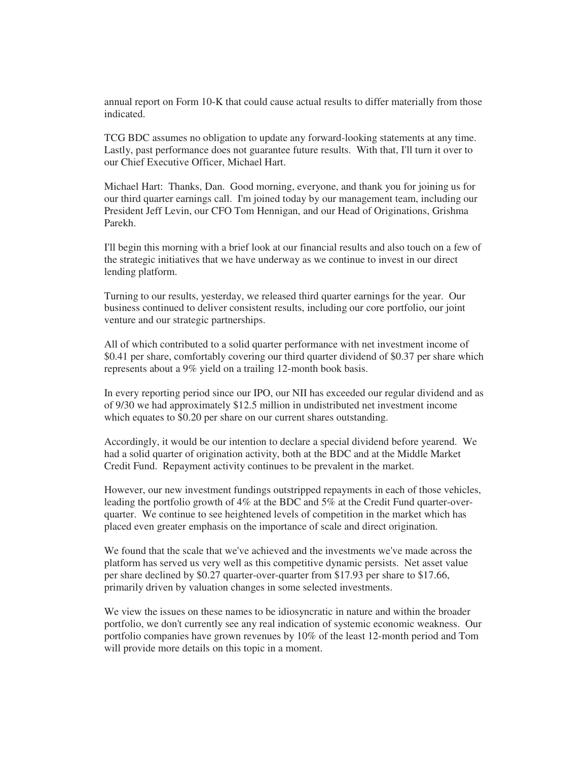annual report on Form 10-K that could cause actual results to differ materially from those indicated.

TCG BDC assumes no obligation to update any forward-looking statements at any time. Lastly, past performance does not guarantee future results. With that, I'll turn it over to our Chief Executive Officer, Michael Hart.

Michael Hart: Thanks, Dan. Good morning, everyone, and thank you for joining us for our third quarter earnings call. I'm joined today by our management team, including our President Jeff Levin, our CFO Tom Hennigan, and our Head of Originations, Grishma Parekh.

I'll begin this morning with a brief look at our financial results and also touch on a few of the strategic initiatives that we have underway as we continue to invest in our direct lending platform.

Turning to our results, yesterday, we released third quarter earnings for the year. Our business continued to deliver consistent results, including our core portfolio, our joint venture and our strategic partnerships.

All of which contributed to a solid quarter performance with net investment income of \$0.41 per share, comfortably covering our third quarter dividend of \$0.37 per share which represents about a 9% yield on a trailing 12-month book basis.

In every reporting period since our IPO, our NII has exceeded our regular dividend and as of 9/30 we had approximately \$12.5 million in undistributed net investment income which equates to \$0.20 per share on our current shares outstanding.

Accordingly, it would be our intention to declare a special dividend before yearend. We had a solid quarter of origination activity, both at the BDC and at the Middle Market Credit Fund. Repayment activity continues to be prevalent in the market.

However, our new investment fundings outstripped repayments in each of those vehicles, leading the portfolio growth of 4% at the BDC and 5% at the Credit Fund quarter-overquarter. We continue to see heightened levels of competition in the market which has placed even greater emphasis on the importance of scale and direct origination.

We found that the scale that we've achieved and the investments we've made across the platform has served us very well as this competitive dynamic persists. Net asset value per share declined by \$0.27 quarter-over-quarter from \$17.93 per share to \$17.66, primarily driven by valuation changes in some selected investments.

We view the issues on these names to be idiosyncratic in nature and within the broader portfolio, we don't currently see any real indication of systemic economic weakness. Our portfolio companies have grown revenues by 10% of the least 12-month period and Tom will provide more details on this topic in a moment.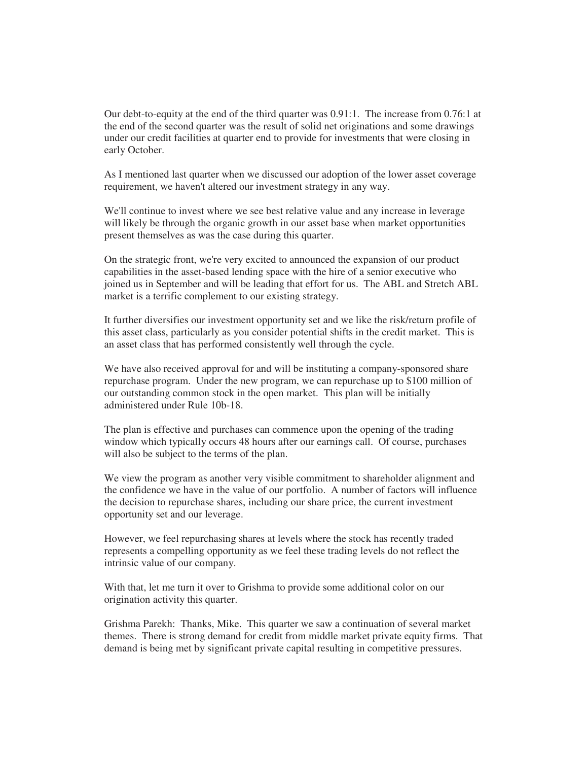Our debt-to-equity at the end of the third quarter was 0.91:1. The increase from 0.76:1 at the end of the second quarter was the result of solid net originations and some drawings under our credit facilities at quarter end to provide for investments that were closing in early October.

As I mentioned last quarter when we discussed our adoption of the lower asset coverage requirement, we haven't altered our investment strategy in any way.

We'll continue to invest where we see best relative value and any increase in leverage will likely be through the organic growth in our asset base when market opportunities present themselves as was the case during this quarter.

On the strategic front, we're very excited to announced the expansion of our product capabilities in the asset-based lending space with the hire of a senior executive who joined us in September and will be leading that effort for us. The ABL and Stretch ABL market is a terrific complement to our existing strategy.

It further diversifies our investment opportunity set and we like the risk/return profile of this asset class, particularly as you consider potential shifts in the credit market. This is an asset class that has performed consistently well through the cycle.

We have also received approval for and will be instituting a company-sponsored share repurchase program. Under the new program, we can repurchase up to \$100 million of our outstanding common stock in the open market. This plan will be initially administered under Rule 10b-18.

The plan is effective and purchases can commence upon the opening of the trading window which typically occurs 48 hours after our earnings call. Of course, purchases will also be subject to the terms of the plan.

We view the program as another very visible commitment to shareholder alignment and the confidence we have in the value of our portfolio. A number of factors will influence the decision to repurchase shares, including our share price, the current investment opportunity set and our leverage.

However, we feel repurchasing shares at levels where the stock has recently traded represents a compelling opportunity as we feel these trading levels do not reflect the intrinsic value of our company.

With that, let me turn it over to Grishma to provide some additional color on our origination activity this quarter.

Grishma Parekh: Thanks, Mike. This quarter we saw a continuation of several market themes. There is strong demand for credit from middle market private equity firms. That demand is being met by significant private capital resulting in competitive pressures.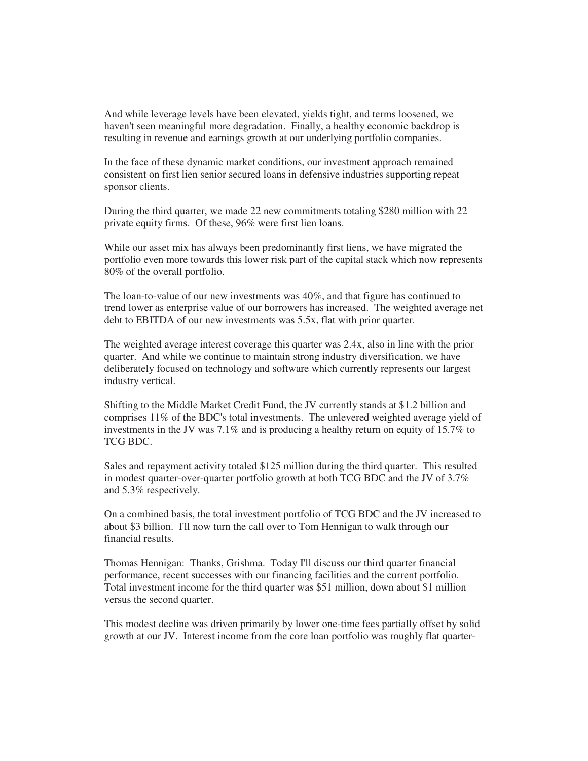And while leverage levels have been elevated, yields tight, and terms loosened, we haven't seen meaningful more degradation. Finally, a healthy economic backdrop is resulting in revenue and earnings growth at our underlying portfolio companies.

In the face of these dynamic market conditions, our investment approach remained consistent on first lien senior secured loans in defensive industries supporting repeat sponsor clients.

During the third quarter, we made 22 new commitments totaling \$280 million with 22 private equity firms. Of these, 96% were first lien loans.

While our asset mix has always been predominantly first liens, we have migrated the portfolio even more towards this lower risk part of the capital stack which now represents 80% of the overall portfolio.

The loan-to-value of our new investments was 40%, and that figure has continued to trend lower as enterprise value of our borrowers has increased. The weighted average net debt to EBITDA of our new investments was 5.5x, flat with prior quarter.

The weighted average interest coverage this quarter was 2.4x, also in line with the prior quarter. And while we continue to maintain strong industry diversification, we have deliberately focused on technology and software which currently represents our largest industry vertical.

Shifting to the Middle Market Credit Fund, the JV currently stands at \$1.2 billion and comprises 11% of the BDC's total investments. The unlevered weighted average yield of investments in the JV was 7.1% and is producing a healthy return on equity of 15.7% to TCG BDC.

Sales and repayment activity totaled \$125 million during the third quarter. This resulted in modest quarter-over-quarter portfolio growth at both TCG BDC and the JV of 3.7% and 5.3% respectively.

On a combined basis, the total investment portfolio of TCG BDC and the JV increased to about \$3 billion. I'll now turn the call over to Tom Hennigan to walk through our financial results.

Thomas Hennigan: Thanks, Grishma. Today I'll discuss our third quarter financial performance, recent successes with our financing facilities and the current portfolio. Total investment income for the third quarter was \$51 million, down about \$1 million versus the second quarter.

This modest decline was driven primarily by lower one-time fees partially offset by solid growth at our JV. Interest income from the core loan portfolio was roughly flat quarter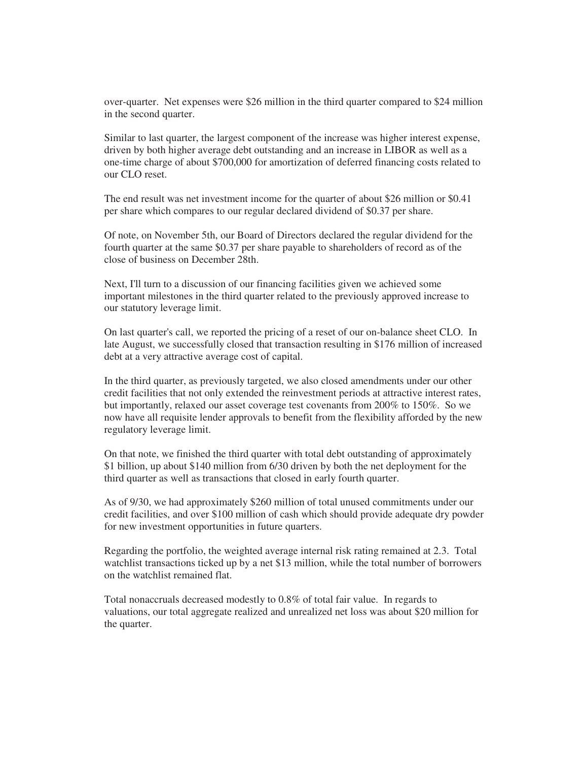over-quarter. Net expenses were \$26 million in the third quarter compared to \$24 million in the second quarter.

Similar to last quarter, the largest component of the increase was higher interest expense, driven by both higher average debt outstanding and an increase in LIBOR as well as a one-time charge of about \$700,000 for amortization of deferred financing costs related to our CLO reset.

The end result was net investment income for the quarter of about \$26 million or \$0.41 per share which compares to our regular declared dividend of \$0.37 per share.

Of note, on November 5th, our Board of Directors declared the regular dividend for the fourth quarter at the same \$0.37 per share payable to shareholders of record as of the close of business on December 28th.

Next, I'll turn to a discussion of our financing facilities given we achieved some important milestones in the third quarter related to the previously approved increase to our statutory leverage limit.

On last quarter's call, we reported the pricing of a reset of our on-balance sheet CLO. In late August, we successfully closed that transaction resulting in \$176 million of increased debt at a very attractive average cost of capital.

In the third quarter, as previously targeted, we also closed amendments under our other credit facilities that not only extended the reinvestment periods at attractive interest rates, but importantly, relaxed our asset coverage test covenants from 200% to 150%. So we now have all requisite lender approvals to benefit from the flexibility afforded by the new regulatory leverage limit.

On that note, we finished the third quarter with total debt outstanding of approximately \$1 billion, up about \$140 million from 6/30 driven by both the net deployment for the third quarter as well as transactions that closed in early fourth quarter.

As of 9/30, we had approximately \$260 million of total unused commitments under our credit facilities, and over \$100 million of cash which should provide adequate dry powder for new investment opportunities in future quarters.

Regarding the portfolio, the weighted average internal risk rating remained at 2.3. Total watchlist transactions ticked up by a net \$13 million, while the total number of borrowers on the watchlist remained flat.

Total nonaccruals decreased modestly to 0.8% of total fair value. In regards to valuations, our total aggregate realized and unrealized net loss was about \$20 million for the quarter.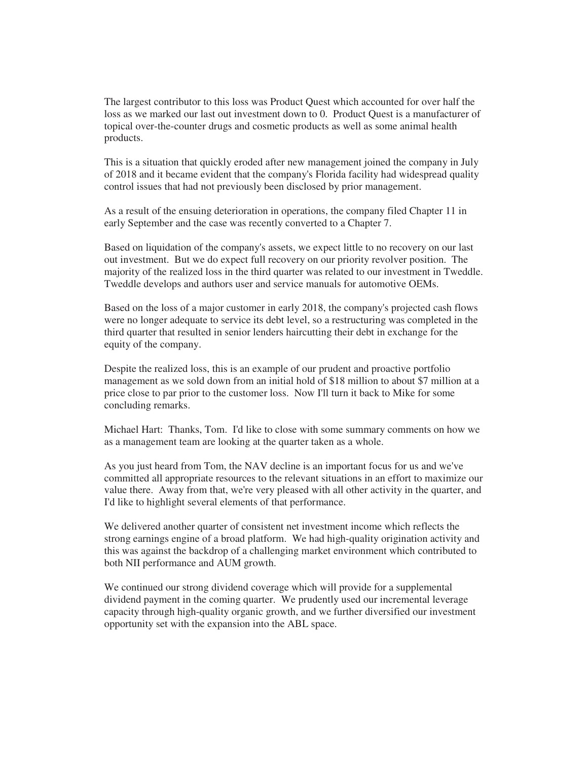The largest contributor to this loss was Product Quest which accounted for over half the loss as we marked our last out investment down to 0. Product Quest is a manufacturer of topical over-the-counter drugs and cosmetic products as well as some animal health products.

This is a situation that quickly eroded after new management joined the company in July of 2018 and it became evident that the company's Florida facility had widespread quality control issues that had not previously been disclosed by prior management.

As a result of the ensuing deterioration in operations, the company filed Chapter 11 in early September and the case was recently converted to a Chapter 7.

Based on liquidation of the company's assets, we expect little to no recovery on our last out investment. But we do expect full recovery on our priority revolver position. The majority of the realized loss in the third quarter was related to our investment in Tweddle. Tweddle develops and authors user and service manuals for automotive OEMs.

Based on the loss of a major customer in early 2018, the company's projected cash flows were no longer adequate to service its debt level, so a restructuring was completed in the third quarter that resulted in senior lenders haircutting their debt in exchange for the equity of the company.

Despite the realized loss, this is an example of our prudent and proactive portfolio management as we sold down from an initial hold of \$18 million to about \$7 million at a price close to par prior to the customer loss. Now I'll turn it back to Mike for some concluding remarks.

Michael Hart: Thanks, Tom. I'd like to close with some summary comments on how we as a management team are looking at the quarter taken as a whole.

As you just heard from Tom, the NAV decline is an important focus for us and we've committed all appropriate resources to the relevant situations in an effort to maximize our value there. Away from that, we're very pleased with all other activity in the quarter, and I'd like to highlight several elements of that performance.

We delivered another quarter of consistent net investment income which reflects the strong earnings engine of a broad platform. We had high-quality origination activity and this was against the backdrop of a challenging market environment which contributed to both NII performance and AUM growth.

We continued our strong dividend coverage which will provide for a supplemental dividend payment in the coming quarter. We prudently used our incremental leverage capacity through high-quality organic growth, and we further diversified our investment opportunity set with the expansion into the ABL space.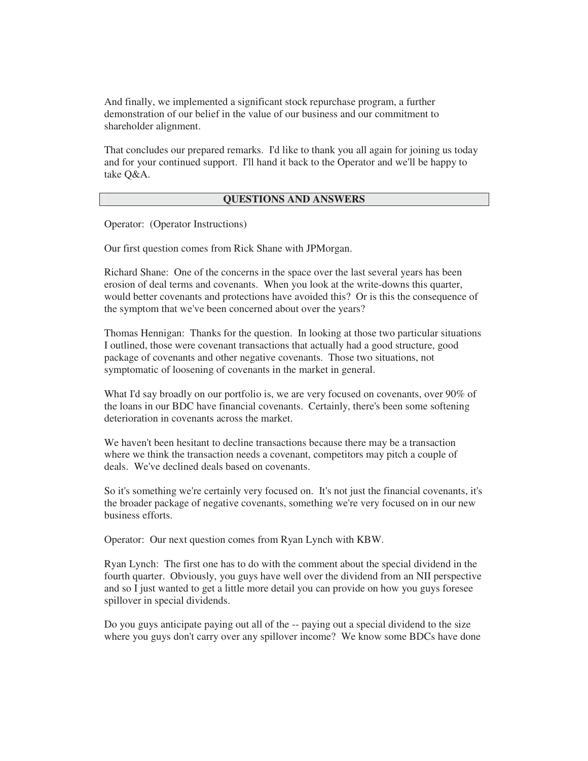And finally, we implemented a significant stock repurchase program, a further demonstration of our belief in the value of our business and our commitment to shareholder alignment.

That concludes our prepared remarks. I'd like to thank you all again for joining us today and for your continued support. I'll hand it back to the Operator and we'll be happy to take Q&A.

#### **QUESTIONS AND ANSWERS**

Operator: (Operator Instructions)

Our first question comes from Rick Shane with JPMorgan.

Richard Shane: One of the concerns in the space over the last several years has been erosion of deal terms and covenants. When you look at the write-downs this quarter, would better covenants and protections have avoided this? Or is this the consequence of the symptom that we've been concerned about over the years?

Thomas Hennigan: Thanks for the question. In looking at those two particular situations I outlined, those were covenant transactions that actually had a good structure, good package of covenants and other negative covenants. Those two situations, not symptomatic of loosening of covenants in the market in general.

What I'd say broadly on our portfolio is, we are very focused on covenants, over 90% of the loans in our BDC have financial covenants. Certainly, there's been some softening deterioration in covenants across the market.

We haven't been hesitant to decline transactions because there may be a transaction where we think the transaction needs a covenant, competitors may pitch a couple of deals. We've declined deals based on covenants.

So it's something we're certainly very focused on. It's not just the financial covenants, it's the broader package of negative covenants, something we're very focused on in our new business efforts.

Operator: Our next question comes from Ryan Lynch with KBW.

Ryan Lynch: The first one has to do with the comment about the special dividend in the fourth quarter. Obviously, you guys have well over the dividend from an NII perspective and so I just wanted to get a little more detail you can provide on how you guys foresee spillover in special dividends.

Do you guys anticipate paying out all of the -- paying out a special dividend to the size where you guys don't carry over any spillover income? We know some BDCs have done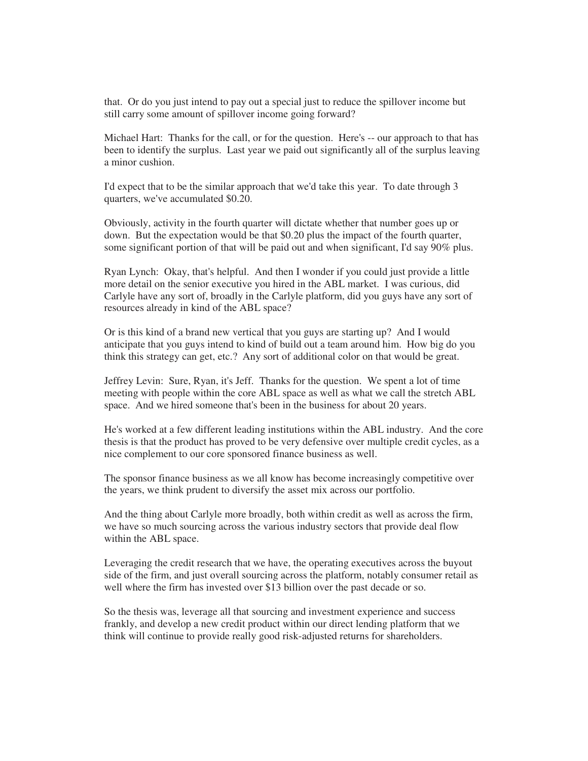that. Or do you just intend to pay out a special just to reduce the spillover income but still carry some amount of spillover income going forward?

Michael Hart: Thanks for the call, or for the question. Here's -- our approach to that has been to identify the surplus. Last year we paid out significantly all of the surplus leaving a minor cushion.

I'd expect that to be the similar approach that we'd take this year. To date through 3 quarters, we've accumulated \$0.20.

Obviously, activity in the fourth quarter will dictate whether that number goes up or down. But the expectation would be that \$0.20 plus the impact of the fourth quarter, some significant portion of that will be paid out and when significant, I'd say 90% plus.

Ryan Lynch: Okay, that's helpful. And then I wonder if you could just provide a little more detail on the senior executive you hired in the ABL market. I was curious, did Carlyle have any sort of, broadly in the Carlyle platform, did you guys have any sort of resources already in kind of the ABL space?

Or is this kind of a brand new vertical that you guys are starting up? And I would anticipate that you guys intend to kind of build out a team around him. How big do you think this strategy can get, etc.? Any sort of additional color on that would be great.

Jeffrey Levin: Sure, Ryan, it's Jeff. Thanks for the question. We spent a lot of time meeting with people within the core ABL space as well as what we call the stretch ABL space. And we hired someone that's been in the business for about 20 years.

He's worked at a few different leading institutions within the ABL industry. And the core thesis is that the product has proved to be very defensive over multiple credit cycles, as a nice complement to our core sponsored finance business as well.

The sponsor finance business as we all know has become increasingly competitive over the years, we think prudent to diversify the asset mix across our portfolio.

And the thing about Carlyle more broadly, both within credit as well as across the firm, we have so much sourcing across the various industry sectors that provide deal flow within the ABL space.

Leveraging the credit research that we have, the operating executives across the buyout side of the firm, and just overall sourcing across the platform, notably consumer retail as well where the firm has invested over \$13 billion over the past decade or so.

So the thesis was, leverage all that sourcing and investment experience and success frankly, and develop a new credit product within our direct lending platform that we think will continue to provide really good risk-adjusted returns for shareholders.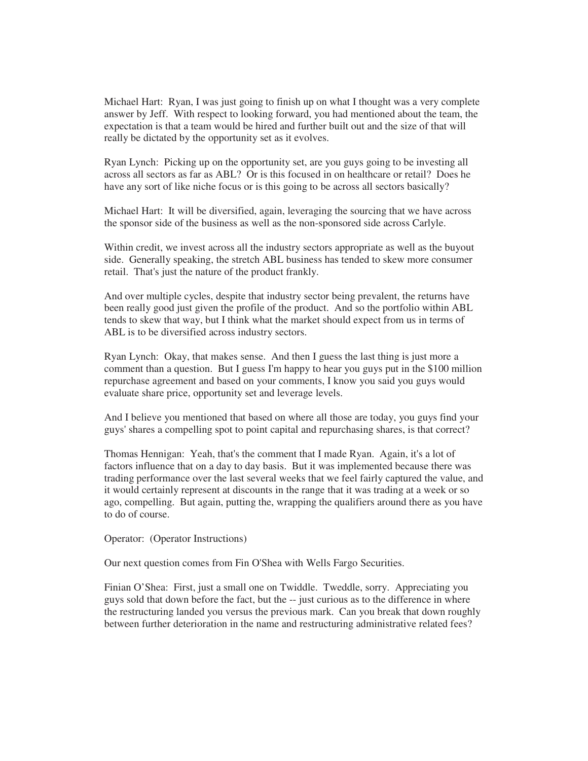Michael Hart: Ryan, I was just going to finish up on what I thought was a very complete answer by Jeff. With respect to looking forward, you had mentioned about the team, the expectation is that a team would be hired and further built out and the size of that will really be dictated by the opportunity set as it evolves.

Ryan Lynch: Picking up on the opportunity set, are you guys going to be investing all across all sectors as far as ABL? Or is this focused in on healthcare or retail? Does he have any sort of like niche focus or is this going to be across all sectors basically?

Michael Hart: It will be diversified, again, leveraging the sourcing that we have across the sponsor side of the business as well as the non-sponsored side across Carlyle.

Within credit, we invest across all the industry sectors appropriate as well as the buyout side. Generally speaking, the stretch ABL business has tended to skew more consumer retail. That's just the nature of the product frankly.

And over multiple cycles, despite that industry sector being prevalent, the returns have been really good just given the profile of the product. And so the portfolio within ABL tends to skew that way, but I think what the market should expect from us in terms of ABL is to be diversified across industry sectors.

Ryan Lynch: Okay, that makes sense. And then I guess the last thing is just more a comment than a question. But I guess I'm happy to hear you guys put in the \$100 million repurchase agreement and based on your comments, I know you said you guys would evaluate share price, opportunity set and leverage levels.

And I believe you mentioned that based on where all those are today, you guys find your guys' shares a compelling spot to point capital and repurchasing shares, is that correct?

Thomas Hennigan: Yeah, that's the comment that I made Ryan. Again, it's a lot of factors influence that on a day to day basis. But it was implemented because there was trading performance over the last several weeks that we feel fairly captured the value, and it would certainly represent at discounts in the range that it was trading at a week or so ago, compelling. But again, putting the, wrapping the qualifiers around there as you have to do of course.

Operator: (Operator Instructions)

Our next question comes from Fin O'Shea with Wells Fargo Securities.

Finian O'Shea: First, just a small one on Twiddle. Tweddle, sorry. Appreciating you guys sold that down before the fact, but the -- just curious as to the difference in where the restructuring landed you versus the previous mark. Can you break that down roughly between further deterioration in the name and restructuring administrative related fees?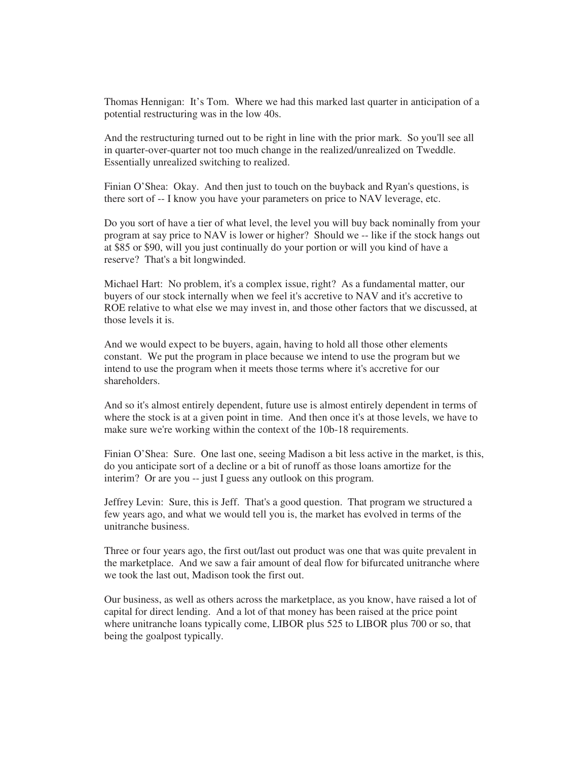Thomas Hennigan: It's Tom. Where we had this marked last quarter in anticipation of a potential restructuring was in the low 40s.

And the restructuring turned out to be right in line with the prior mark. So you'll see all in quarter-over-quarter not too much change in the realized/unrealized on Tweddle. Essentially unrealized switching to realized.

Finian O'Shea: Okay. And then just to touch on the buyback and Ryan's questions, is there sort of -- I know you have your parameters on price to NAV leverage, etc.

Do you sort of have a tier of what level, the level you will buy back nominally from your program at say price to NAV is lower or higher? Should we -- like if the stock hangs out at \$85 or \$90, will you just continually do your portion or will you kind of have a reserve? That's a bit longwinded.

Michael Hart: No problem, it's a complex issue, right? As a fundamental matter, our buyers of our stock internally when we feel it's accretive to NAV and it's accretive to ROE relative to what else we may invest in, and those other factors that we discussed, at those levels it is.

And we would expect to be buyers, again, having to hold all those other elements constant. We put the program in place because we intend to use the program but we intend to use the program when it meets those terms where it's accretive for our shareholders.

And so it's almost entirely dependent, future use is almost entirely dependent in terms of where the stock is at a given point in time. And then once it's at those levels, we have to make sure we're working within the context of the 10b-18 requirements.

Finian O'Shea: Sure. One last one, seeing Madison a bit less active in the market, is this, do you anticipate sort of a decline or a bit of runoff as those loans amortize for the interim? Or are you -- just I guess any outlook on this program.

Jeffrey Levin: Sure, this is Jeff. That's a good question. That program we structured a few years ago, and what we would tell you is, the market has evolved in terms of the unitranche business.

Three or four years ago, the first out/last out product was one that was quite prevalent in the marketplace. And we saw a fair amount of deal flow for bifurcated unitranche where we took the last out, Madison took the first out.

Our business, as well as others across the marketplace, as you know, have raised a lot of capital for direct lending. And a lot of that money has been raised at the price point where unitranche loans typically come, LIBOR plus 525 to LIBOR plus 700 or so, that being the goalpost typically.